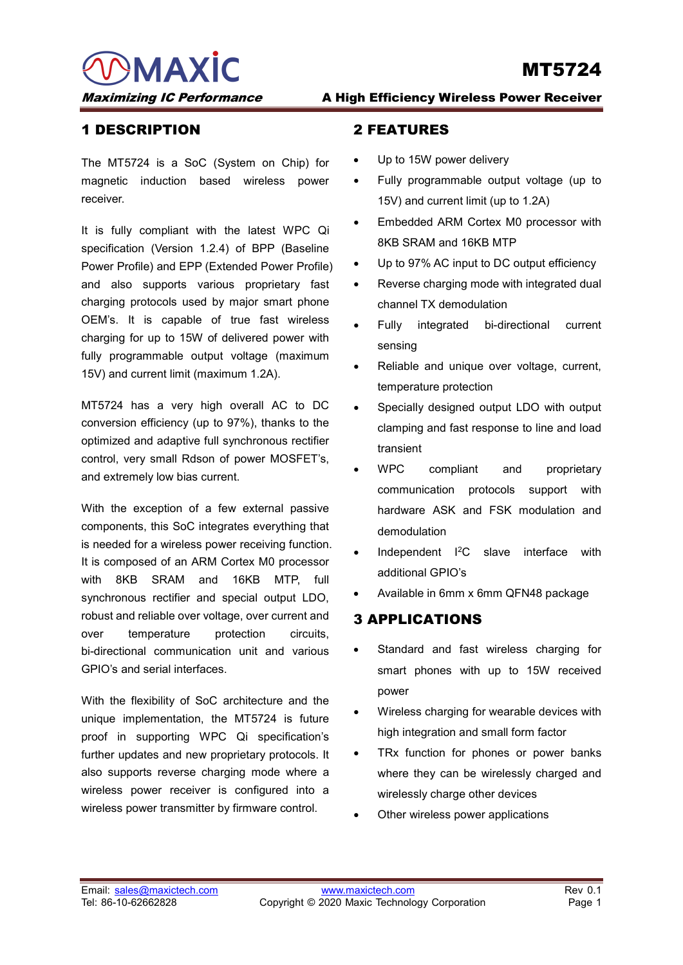MAXIC

# MT5724

### 1 DESCRIPTION

The MT5724 is a SoC (System on Chip) for magnetic induction based wireless power receiver.

It is fully compliant with the latest WPC Qi specification (Version 1.2.4) of BPP (Baseline Power Profile) and EPP (Extended Power Profile) and also supports various proprietary fast charging protocols used by major smart phone OEM's. It is capable of true fast wireless charging for up to 15W of delivered power with fully programmable output voltage (maximum 15V) and current limit (maximum 1.2A).

MT5724 has a very high overall AC to DC conversion efficiency (up to 97%), thanks to the optimized and adaptive full synchronous rectifier control, very small Rdson of power MOSFET's, and extremely low bias current.

With the exception of a few external passive components, this SoC integrates everything that is needed for a wireless power receiving function. It is composed of an ARM Cortex M0 processor with 8KB SRAM and 16KB MTP, full synchronous rectifier and special output LDO, robust and reliable over voltage, over current and over temperature protection circuits, bi-directional communication unit and various GPIO's and serial interfaces.

With the flexibility of SoC architecture and the unique implementation, the MT5724 is future proof in supporting WPC Qi specification's further updates and new proprietary protocols. It also supports reverse charging mode where a wireless power receiver is configured into a wireless power transmitter by firmware control.

#### Maximizing IC Performance A High Efficiency Wireless Power Receiver

#### 2 FEATURES

- Up to 15W power delivery
- Fully programmable output voltage (up to 15V) and current limit (up to 1.2A)
- Embedded ARM Cortex M0 processor with 8KB SRAM and 16KB MTP
- Up to 97% AC input to DC output efficiency
- Reverse charging mode with integrated dual channel TX demodulation
- Fully integrated bi-directional current sensing
- Reliable and unique over voltage, current, temperature protection
- Specially designed output LDO with output clamping and fast response to line and load transient
- WPC compliant and proprietary communication protocols support with hardware ASK and FSK modulation and demodulation
- Independent I2C slave interface with additional GPIO's
- Available in 6mm x 6mm QFN48 package

#### 3 APPLICATIONS

- Standard and fast wireless charging for smart phones with up to 15W received power
- Wireless charging for wearable devices with high integration and small form factor
- TRx function for phones or power banks where they can be wirelessly charged and wirelessly charge other devices
- Other wireless power applications